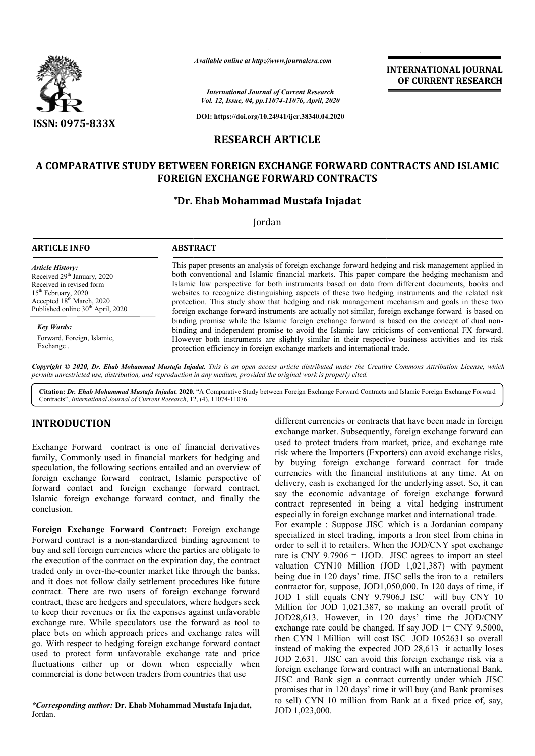

*Available online at http://www.journalcra.com*

*International Journal of Current Research Vol. 12, Issue, 04, pp.11074-11076, April, 2020*

**DOI: https://doi.org/10.24941/ijcr.38340.04.2020**

# **RESEARCH ARTICLE**

## **A COMPARATIVE STUDY BETWEEN FOREIGN EXCHANGE FORWARD CONTRACTS AND ISLAMIC A COMPARATIVE FOREIGN EXCHANGE FOREIGN EXCHANGE FORWARD CONTRACTS**

## **\*Dr. Ehab Mohammad Mustafa Injadat Dr.**

Jordan

| ARTICLE INFO                                                                                                                                                                                                         | <b>ABSTRACT</b>                                                                                                                                                                                                                                                                                                                                                                                                                                                                                                                                                                                                                                                                                                                                                                                                                                                                                                                                                                                               |
|----------------------------------------------------------------------------------------------------------------------------------------------------------------------------------------------------------------------|---------------------------------------------------------------------------------------------------------------------------------------------------------------------------------------------------------------------------------------------------------------------------------------------------------------------------------------------------------------------------------------------------------------------------------------------------------------------------------------------------------------------------------------------------------------------------------------------------------------------------------------------------------------------------------------------------------------------------------------------------------------------------------------------------------------------------------------------------------------------------------------------------------------------------------------------------------------------------------------------------------------|
| Article History:<br>Received 29 <sup>th</sup> January, 2020<br>Received in revised form<br>15 <sup>th</sup> February, 2020<br>Accepted 18 <sup>th</sup> March, 2020<br>Published online 30 <sup>th</sup> April, 2020 | This paper presents an analysis of foreign exchange forward hedging and risk management applied in<br>both conventional and Islamic financial markets. This paper compare the hedging mechanism and<br>Islamic law perspective for both instruments based on data from different documents, books and<br>websites to recognize distinguishing aspects of these two hedging instruments and the related risk<br>protection. This study show that hedging and risk management mechanism and goals in these two<br>foreign exchange forward instruments are actually not similar, foreign exchange forward is based on<br>binding promise while the Islamic foreign exchange forward is based on the concept of dual non-<br>binding and independent promise to avoid the Islamic law criticisms of conventional FX forward.<br>However both instruments are slightly similar in their respective business activities and its risk<br>protection efficiency in foreign exchange markets and international trade. |
| <b>Key Words:</b>                                                                                                                                                                                                    |                                                                                                                                                                                                                                                                                                                                                                                                                                                                                                                                                                                                                                                                                                                                                                                                                                                                                                                                                                                                               |
| Forward, Foreign, Islamic,<br>Exchange.                                                                                                                                                                              |                                                                                                                                                                                                                                                                                                                                                                                                                                                                                                                                                                                                                                                                                                                                                                                                                                                                                                                                                                                                               |

Copyright © 2020, Dr. Ehab Mohammad Mustafa Injadat. This is an open access article distributed under the Creative Commons Attribution License, which permits unrestricted use, distribution, and reproduction in any medium, provided the original work is properly cited.

Citation: Dr. Ehab Mohammad Mustafa Injadat. 2020. "A Comparative Study between Foreign Exchange Forward Contracts and Islamic Foreign Exchange Forward Contracts", *International Journal of Current Research*, 12, (4), 11074-11076.

# **INTRODUCTION**

Exchange Forward contract is one of financial derivatives family, Commonly used in financial markets for hedging and speculation, the following sections entailed and an overview of foreign exchange forward contract, Islamic perspective of forward contact and foreign exchange forward contract, Islamic foreign exchange forward contact, and finally the conclusion.

**Foreign Exchange Forward Contract:** Foreign exchange Forward contract is a non-standardized binding agreement to buy and sell foreign currencies where the parties are obligate to the execution of the contract on the expiration day, the contract traded only in over-the-counter market like through the banks, and it does not follow daily settlement procedures like future contract. There are two users of foreign exchange forward contract, these are hedgers and speculators, where hedgers to keep their revenues or fix the expenses against unfavorable exchange rate. While speculators use the forward as tool to place bets on which approach prices and exchange rates will go. With respect to hedging foreign exchange forward contact used to protect form unfavorable exchange rate and price fluctuations either up or down when especially when commercial is done between traders from countries that use oon-standardized binding agreement to<br>rencies where the parties are obligate to<br>tract on the expiration day, the contract<br>counter market like through the banks,<br>daily settlement procedures like future<br>o users of foreign ex

*\*Corresponding author:* **Dr. Ehab Mohammad Mustafa Injadat Injadat,** Jordan.

different currencies or contracts that have been made in foreign exchange market. Subsequently, foreign exchange forward can used to protect traders from market, price, and exchange rate risk where the Importers (Exporters) can avoid exchange risks, by buying foreign exchange forward contract for trade currencies with the financial institutions at any time. At on delivery, cash is exchanged for the underlying asset. So, it can say the economic advantage of foreign exchange forward contract represented in being a vital hedging instrument especially in foreign exchange market and international trade. say the economic advantage of foreign exchange forward contract represented in being a vital hedging instrument especially in foreign exchange market and international trade.<br>For example : Suppose JISC which is a Jordanian exchange market. Subsequently, foreign exchange forward can used to protect traders from market, price, and exchange rate risk where the Importers (Exporters) can avoid exchange risks, by buying foreign exchange forward co

**INTERNATIONAL JOURNAL OF CURRENT RESEARCH**

specialized in steel trading, imports a Iron steel from china in order to sell it to retailers. When the JOD/CNY spot exchange rate is CNY 9.7906 = 1JOD. JISC agrees to import an steel valuation CYN10 Million (JOD 1,021,387) with payment being due in 120 days' time. JISC sells the iron to a retailers contractor for, suppose, JOD1,050,000. In 120 days of time, if JOD 1 still equals CNY 9.7906,J ISC will buy CNY 10 Million for JOD 1,021,387, so making an overall profit of JOD28,613. However, in 120 days' time the JOD/CNY exchange rate could be changed. If say JOD 1= CNY 9.5000, then CYN 1 Million will cost ISC JOD 1052631 so overall instead of making the expected JOD 28,613 it actually loses JOD 2,631. JISC can avoid this foreign exchange risk via a foreign exchange forward contract with a JISC and Bank sign a contract currently under which JISC promises that in 120 days' time it will buy (and Bank promises to sell) CYN 10 million from Bank at a fixed price of, say, JOD 1,023,000. order to sell it to retailers. When the JOD/CNY spot exchange<br>rate is CNY 9.7906 = 1JOD. JISC agrees to import an steel<br>valuation CYN10 Million (JOD 1,021,387) with payment<br>being due in 120 days' time. JISC sells the iron contractor for, suppose, JOD1,050,000. In 120 days of time, if JOD 1 still equals CNY 9.7906,J ISC will buy CNY 10 Million for JOD 1,021,387, so making an overall profit of JOD28,613. However, in 120 days' time the JOD/CNY **EXERCIS (SEE ALT ANTIFICAL SEE ALT ANTIFICAL SEE ALT AND ISLAMIC<br>
SEE AND ISLAMIC CONTRACTS AND ISLAMIC CONTRACTS AND CONTRACTS AND ISLAMIC CONTRACTS AND ISLAMIC CONTRACTS (EXERCISE 2018) AND AND AND AND AND AND AND AND A**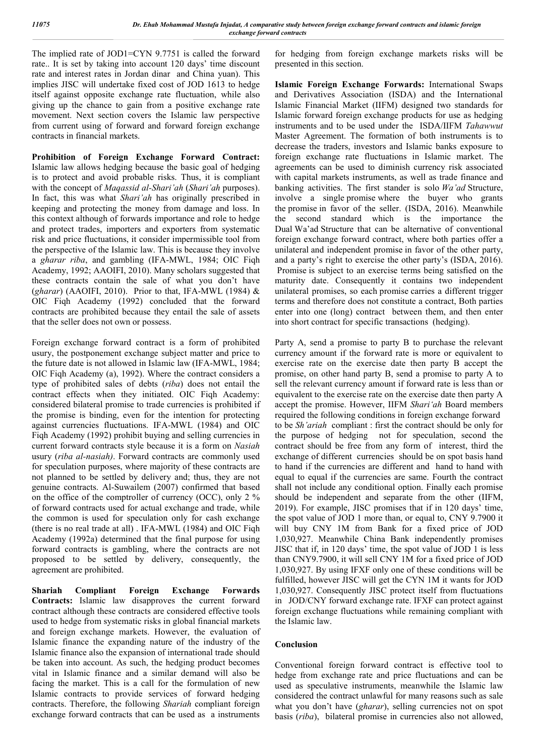The implied rate of JOD1=CYN 9.7751 is called the forward rate.. It is set by taking into account 120 days' time discount rate and interest rates in Jordan dinar and China yuan). This implies JISC will undertake fixed cost of JOD 1613 to hedge itself against opposite exchange rate fluctuation, while also giving up the chance to gain from a positive exchange rate movement. Next section covers the Islamic law perspective from current using of forward and forward foreign exchange contracts in financial markets.

**Prohibition of Foreign Exchange Forward Contract:**  Islamic law allows hedging because the basic goal of hedging is to protect and avoid probable risks. Thus, it is compliant with the concept of *Maqassid al-Shari'ah* (*Shari'ah* purposes). In fact, this was what *Shari'ah* has originally prescribed in keeping and protecting the money from damage and loss. In this context although of forwards importance and role to hedge and protect trades, importers and exporters from systematic risk and price fluctuations, it consider impermissible tool from the perspective of the Islamic law. This is because they involve a *gharar riba*, and gambling (IFA-MWL, 1984; OIC Fiqh Academy, 1992; AAOIFI, 2010). Many scholars suggested that these contracts contain the sale of what you don't have (*gharar*) (AAOIFI, 2010). Prior to that, IFA-MWL (1984) & OIC Fiqh Academy (1992) concluded that the forward contracts are prohibited because they entail the sale of assets that the seller does not own or possess.

Foreign exchange forward contract is a form of prohibited usury, the postponement exchange subject matter and price to the future date is not allowed in Islamic law (IFA-MWL, 1984; OIC Fiqh Academy (a), 1992). Where the contract considers a type of prohibited sales of debts (*riba*) does not entail the contract effects when they initiated. OIC Fiqh Academy: considered bilateral promise to trade currencies is prohibited if the promise is binding, even for the intention for protecting against currencies fluctuations. IFA-MWL (1984) and OIC Fiqh Academy (1992) prohibit buying and selling currencies in current forward contracts style because it is a form on *Nasiah* usury (*riba al-nasiah)*. Forward contracts are commonly used for speculation purposes, where majority of these contracts are not planned to be settled by delivery and; thus, they are not genuine contracts. Al-Suwailem (2007) confirmed that based on the office of the comptroller of currency (OCC), only 2 % of forward contracts used for actual exchange and trade, while the common is used for speculation only for cash exchange (there is no real trade at all) . IFA-MWL (1984) and OIC Fiqh Academy (1992a) determined that the final purpose for using forward contracts is gambling, where the contracts are not proposed to be settled by delivery, consequently, the agreement are prohibited.

**Shariah Compliant Foreign Exchange Forwards Contracts:** Islamic law disapproves the current forward contract although these contracts are considered effective tools used to hedge from systematic risks in global financial markets and foreign exchange markets. However, the evaluation of Islamic finance the expanding nature of the industry of the Islamic finance also the expansion of international trade should be taken into account. As such, the hedging product becomes vital in Islamic finance and a similar demand will also be facing the market. This is a call for the formulation of new Islamic contracts to provide services of forward hedging contracts. Therefore, the following *Shariah* compliant foreign exchange forward contracts that can be used as a instruments

for hedging from foreign exchange markets risks will be presented in this section.

**Islamic Foreign Exchange Forwards:** International Swaps and Derivatives Association (ISDA) and the International Islamic Financial Market (IIFM) designed two standards for Islamic forward foreign exchange products for use as hedging instruments and to be used under the ISDA/IIFM *Tahawwut* Master Agreement. The formation of both instruments is to decrease the traders, investors and Islamic banks exposure to foreign exchange rate fluctuations in Islamic market. The agreements can be used to diminish currency risk associated with capital markets instruments, as well as trade finance and banking activities. The first stander is solo *Wa'ad* Structure, involve a single promise where the buyer who grants the promise in favor of the seller. (ISDA, 2016). Meanwhile the second standard which is the importance the Dual Wa'ad Structure that can be alternative of conventional foreign exchange forward contract, where both parties offer a unilateral and independent promise in favor of the other party, and a party's right to exercise the other party's (ISDA, 2016). Promise is subject to an exercise terms being satisfied on the maturity date. Consequently it contains two independent unilateral promises, so each promise carries a different trigger terms and therefore does not constitute a contract, Both parties enter into one (long) contract between them, and then enter into short contract for specific transactions (hedging).

Party A, send a promise to party B to purchase the relevant currency amount if the forward rate is more or equivalent to exercise rate on the exercise date then party B accept the promise, on other hand party B, send a promise to party A to sell the relevant currency amount if forward rate is less than or equivalent to the exercise rate on the exercise date then party A accept the promise. However, IIFM *Shari'ah* Board members required the following conditions in foreign exchange forward to be *Sh'ariah* compliant : first the contract should be only for the purpose of hedging not for speculation, second the contract should be free from any form of interest, third the exchange of different currencies should be on spot basis hand to hand if the currencies are different and hand to hand with equal to equal if the currencies are same. Fourth the contract shall not include any conditional option. Finally each promise should be independent and separate from the other (IIFM, 2019). For example, JISC promises that if in 120 days' time, the spot value of JOD 1 more than, or equal to, CNY 9.7900 it will buy CNY 1M from Bank for a fixed price of JOD 1,030,927. Meanwhile China Bank independently promises JISC that if, in 120 days' time, the spot value of JOD 1 is less than CNY9.7900, it will sell CNY 1M for a fixed price of JOD 1,030,927. By using IFXF only one of these conditions will be fulfilled, however JISC will get the CYN 1M it wants for JOD 1,030,927. Consequently JISC protect itself from fluctuations in JOD/CNY forward exchange rate. IFXF can protect against foreign exchange fluctuations while remaining compliant with the Islamic law.

#### **Conclusion**

Conventional foreign forward contract is effective tool to hedge from exchange rate and price fluctuations and can be used as speculative instruments, meanwhile the Islamic law considered the contract unlawful for many reasons such as sale what you don't have (*gharar*), selling currencies not on spot basis (*riba*), bilateral promise in currencies also not allowed,